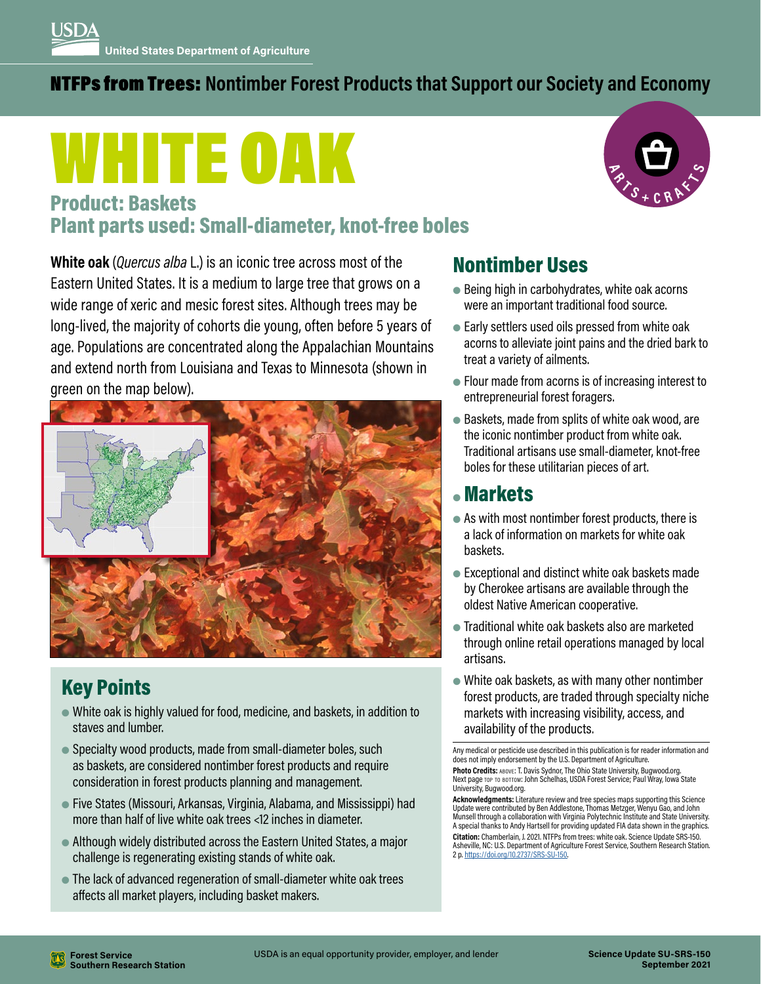#### NTFPs from Trees: **Nontimber Forest Products that Support our Society and Economy**

# WHITE OAK



#### Product: Baskets Plant parts used: Small-diameter, knot-free boles

**White oak** (*Quercus alba* L.) is an iconic tree across most of the Eastern United States. It is a medium to large tree that grows on a wide range of xeric and mesic forest sites. Although trees may be long-lived, the majority of cohorts die young, often before 5 years of age. Populations are concentrated along the Appalachian Mountains and extend north from Louisiana and Texas to Minnesota (shown in green on the map below).



## Key Points

- White oak is highly valued for food, medicine, and baskets, in addition to staves and lumber.
- Specialty wood products, made from small-diameter boles, such as baskets, are considered nontimber forest products and require consideration in forest products planning and management.
- Five States (Missouri, Arkansas, Virginia, Alabama, and Mississippi) had more than half of live white oak trees <12 inches in diameter.
- Although widely distributed across the Eastern United States, a major challenge is regenerating existing stands of white oak.
- The lack of advanced regeneration of small-diameter white oak trees affects all market players, including basket makers.

## Nontimber Uses

- $\bullet$  Being high in carbohydrates, white oak acorns were an important traditional food source.
- $\bullet$  Early settlers used oils pressed from white oak acorns to alleviate joint pains and the dried bark to treat a variety of ailments.
- Flour made from acorns is of increasing interest to entrepreneurial forest foragers.
- Baskets, made from splits of white oak wood, are the iconic nontimber product from white oak. Traditional artisans use small-diameter, knot-free boles for these utilitarian pieces of art.

#### ● Markets

- As with most nontimber forest products, there is a lack of information on markets for white oak baskets.
- $\bullet$  Exceptional and distinct white oak baskets made by Cherokee artisans are available through the oldest Native American cooperative.
- Traditional white oak baskets also are marketed through online retail operations managed by local artisans.
- $\bullet$  White oak baskets, as with many other nontimber forest products, are traded through specialty niche markets with increasing visibility, access, and availability of the products.

Any medical or pesticide use described in this publication is for reader information and does not imply endorsement by the U.S. Department of Agriculture. Photo Credits: ABOVE: T. Davis Sydnor, The Ohio State University, Bugwood.org. Next page top to bottom: John Schelhas, USDA Forest Service; Paul Wray, Iowa State University, Bugwood.org.

**Acknowledgments:** Literature review and tree species maps supporting this Science Update were contributed by Ben Addlestone, Thomas Metzger, Wenyu Gao, and John Munsell through a collaboration with Virginia Polytechnic Institute and State University. A special thanks to Andy Hartsell for providing updated FIA data shown in the graphics. **Citation:** Chamberlain, J. 2021. NTFPs from trees: white oak. Science Update SRS-150. Asheville, NC: U.S. Department of Agriculture Forest Service, Southern Research Station. 2 p. <https://doi.org/10.2737/SRS-SU-150>.